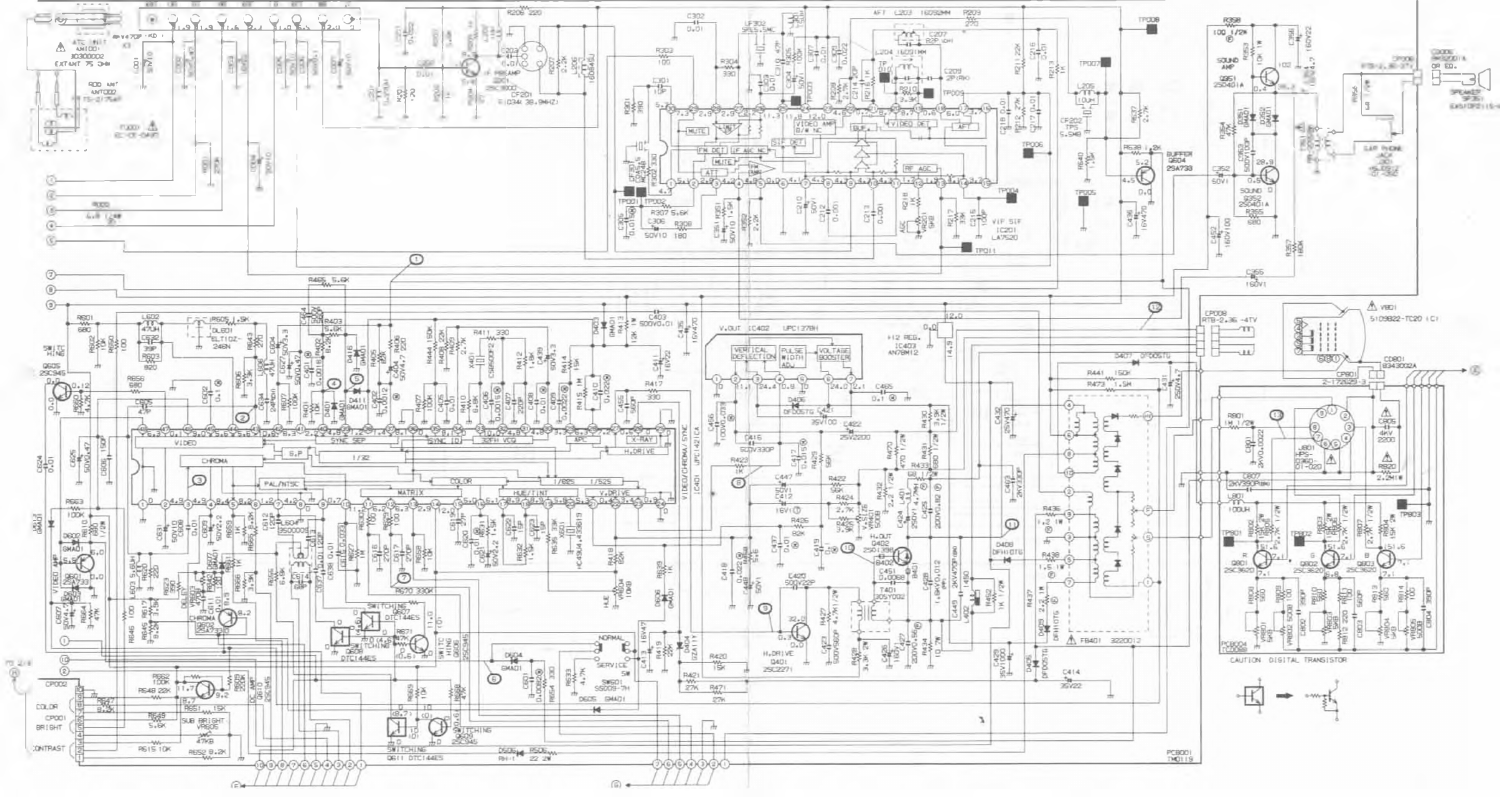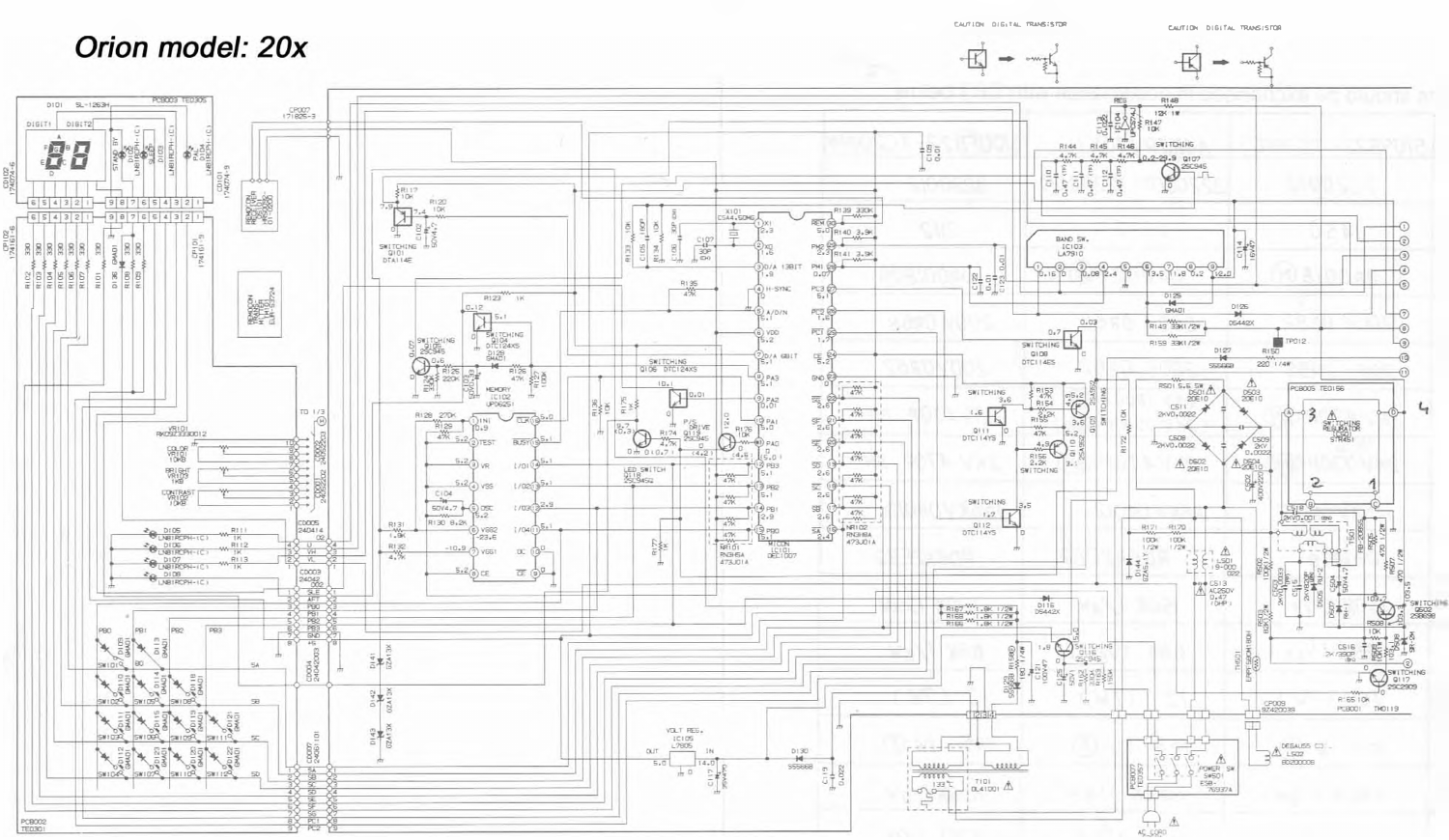